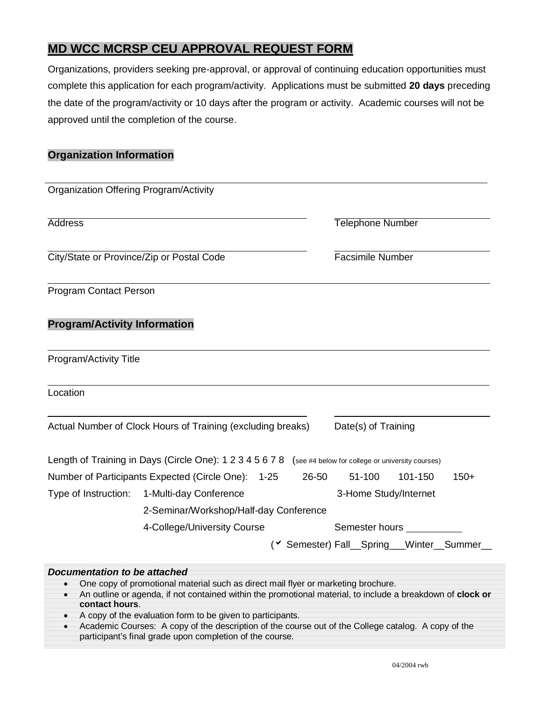## **MD WCC MCRSP CEU APPROVAL REQUEST FORM**

Organizations, providers seeking pre-approval, or approval of continuing education opportunities must complete this application for each program/activity. Applications must be submitted **20 days** preceding the date of the program/activity or 10 days after the program or activity. Academic courses will not be approved until the completion of the course.

### **Organization Information**

| <b>Organization Offering Program/Activity</b>                      |                                                                                                                                                                                                                                                                                                                                                                   |       |                       |                                                      |  |  |
|--------------------------------------------------------------------|-------------------------------------------------------------------------------------------------------------------------------------------------------------------------------------------------------------------------------------------------------------------------------------------------------------------------------------------------------------------|-------|-----------------------|------------------------------------------------------|--|--|
| <b>Address</b>                                                     |                                                                                                                                                                                                                                                                                                                                                                   |       |                       | <b>Telephone Number</b>                              |  |  |
| City/State or Province/Zip or Postal Code                          |                                                                                                                                                                                                                                                                                                                                                                   |       |                       | <b>Facsimile Number</b>                              |  |  |
| <b>Program Contact Person</b>                                      |                                                                                                                                                                                                                                                                                                                                                                   |       |                       |                                                      |  |  |
| <b>Program/Activity Information</b>                                |                                                                                                                                                                                                                                                                                                                                                                   |       |                       |                                                      |  |  |
| Program/Activity Title                                             |                                                                                                                                                                                                                                                                                                                                                                   |       |                       |                                                      |  |  |
| Location                                                           |                                                                                                                                                                                                                                                                                                                                                                   |       |                       |                                                      |  |  |
| Actual Number of Clock Hours of Training (excluding breaks)        |                                                                                                                                                                                                                                                                                                                                                                   |       |                       | Date(s) of Training                                  |  |  |
|                                                                    | Length of Training in Days (Circle One): 1 2 3 4 5 6 7 8 (see #4 below for college or university courses)                                                                                                                                                                                                                                                         |       |                       |                                                      |  |  |
|                                                                    | Number of Participants Expected (Circle One): 1-25                                                                                                                                                                                                                                                                                                                | 26-50 | 51-100                | $150+$<br>101-150                                    |  |  |
| Type of Instruction:                                               | 1-Multi-day Conference                                                                                                                                                                                                                                                                                                                                            |       | 3-Home Study/Internet |                                                      |  |  |
|                                                                    | 2-Seminar/Workshop/Half-day Conference                                                                                                                                                                                                                                                                                                                            |       |                       |                                                      |  |  |
|                                                                    | 4-College/University Course                                                                                                                                                                                                                                                                                                                                       |       | Semester hours __     |                                                      |  |  |
|                                                                    |                                                                                                                                                                                                                                                                                                                                                                   |       |                       | ( <sup>v</sup> Semester) Fall_Spring__Winter_Summer_ |  |  |
| <b>Documentation to be attached</b><br>$\bullet$<br>contact hours. | One copy of promotional material such as direct mail flyer or marketing brochure.<br>An outline or agenda, if not contained within the promotional material, to include a breakdown of clock or<br>A copy of the evaluation form to be given to participants.<br>Academic Courses: A convot the description of the course out of the College catalog A convot the |       |                       |                                                      |  |  |